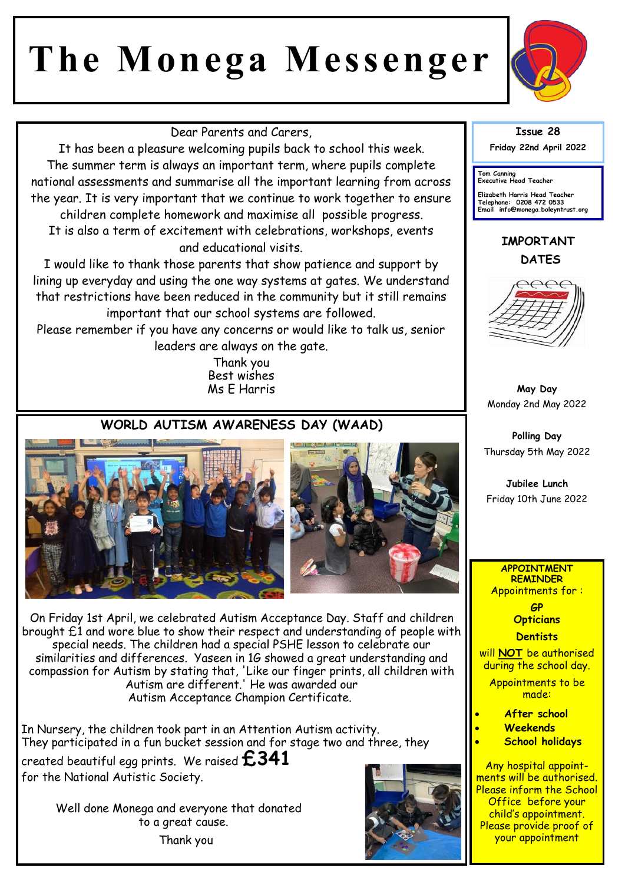# **The Monega Messenger**



Dear Parents and Carers,

It has been a pleasure welcoming pupils back to school this week. The summer term is always an important term, where pupils complete national assessments and summarise all the important learning from across the year. It is very important that we continue to work together to ensure

children complete homework and maximise all possible progress. It is also a term of excitement with celebrations, workshops, events and educational visits.

I would like to thank those parents that show patience and support by lining up everyday and using the one way systems at gates. We understand that restrictions have been reduced in the community but it still remains important that our school systems are followed.

Please remember if you have any concerns or would like to talk us, senior leaders are always on the gate.

> Thank you Best wishes Ms E Harris

### **WORLD AUTISM AWARENESS DAY (WAAD)**





On Friday 1st April, we celebrated Autism Acceptance Day. Staff and children brought £1 and wore blue to show their respect and understanding of people with special needs. The children had a special PSHE lesson to celebrate our similarities and differences. Yaseen in 1G showed a great understanding and compassion for Autism by stating that, 'Like our finger prints, all children with Autism are different.' He was awarded our Autism Acceptance Champion Certificate.

In Nursery, the children took part in an Attention Autism activity. They participated in a fun bucket session and for stage two and three, they

created beautiful egg prints. We raised **£341** for the National Autistic Society.

> Well done Monega and everyone that donated to a great cause. Thank you



**Issue 28 Friday 22nd April 2022** 

**Tom Canning Executive Head Teacher**

**Elizabeth Harris Head Teacher Telephone: 0208 472 0533 Email info@monega.boleyntrust.org** 

### **IMPORTANT DATES**



**May Day**  Monday 2nd May 2022

**Polling Day**  Thursday 5th May 2022

**Jubilee Lunch**  Friday 10th June 2022

#### **APPOINTMENT REMINDER** Appointments for :

**GP Opticians Dentists** 

will **NOT** be authorised during the school day.

Appointments to be made:

- **After school**
- **Weekends**
- **School holidays**

Any hospital appointments will be authorised. Please inform the School Office before your child's appointment. Please provide proof of your appointment